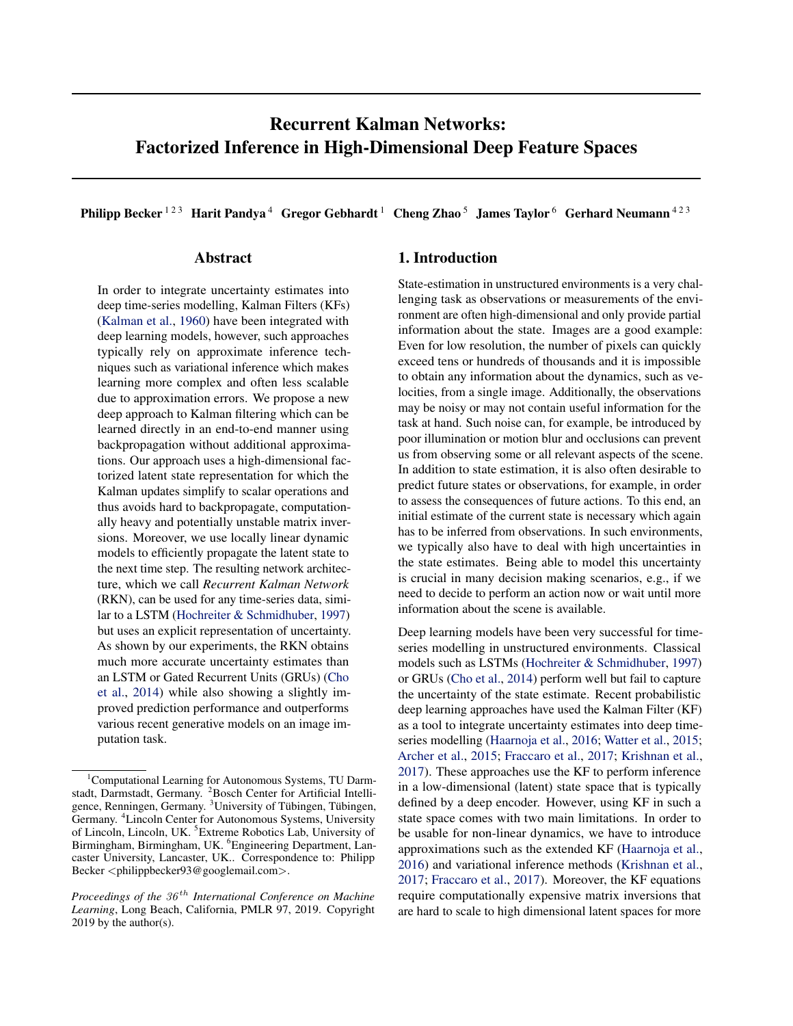# Recurrent Kalman Networks: Factorized Inference in High-Dimensional Deep Feature Spaces

Philipp Becker<sup>123</sup> Harit Pandya<sup>4</sup> Gregor Gebhardt<sup>1</sup> Cheng Zhao<sup>5</sup> James Taylor<sup>6</sup> Gerhard Neumann<sup>423</sup>

### Abstract

In order to integrate uncertainty estimates into deep time-series modelling, Kalman Filters (KFs) [\(Kalman et al.,](#page-8-0) [1960\)](#page-8-0) have been integrated with deep learning models, however, such approaches typically rely on approximate inference techniques such as variational inference which makes learning more complex and often less scalable due to approximation errors. We propose a new deep approach to Kalman filtering which can be learned directly in an end-to-end manner using backpropagation without additional approximations. Our approach uses a high-dimensional factorized latent state representation for which the Kalman updates simplify to scalar operations and thus avoids hard to backpropagate, computationally heavy and potentially unstable matrix inversions. Moreover, we use locally linear dynamic models to efficiently propagate the latent state to the next time step. The resulting network architecture, which we call *Recurrent Kalman Network* (RKN), can be used for any time-series data, similar to a LSTM [\(Hochreiter & Schmidhuber,](#page-8-0) [1997\)](#page-8-0) but uses an explicit representation of uncertainty. As shown by our experiments, the RKN obtains much more accurate uncertainty estimates than an LSTM or Gated Recurrent Units (GRUs) [\(Cho](#page-8-0) [et al.,](#page-8-0) [2014\)](#page-8-0) while also showing a slightly improved prediction performance and outperforms various recent generative models on an image imputation task.

# 1. Introduction

State-estimation in unstructured environments is a very challenging task as observations or measurements of the environment are often high-dimensional and only provide partial information about the state. Images are a good example: Even for low resolution, the number of pixels can quickly exceed tens or hundreds of thousands and it is impossible to obtain any information about the dynamics, such as velocities, from a single image. Additionally, the observations may be noisy or may not contain useful information for the task at hand. Such noise can, for example, be introduced by poor illumination or motion blur and occlusions can prevent us from observing some or all relevant aspects of the scene. In addition to state estimation, it is also often desirable to predict future states or observations, for example, in order to assess the consequences of future actions. To this end, an initial estimate of the current state is necessary which again has to be inferred from observations. In such environments, we typically also have to deal with high uncertainties in the state estimates. Being able to model this uncertainty is crucial in many decision making scenarios, e.g., if we need to decide to perform an action now or wait until more information about the scene is available.

Deep learning models have been very successful for timeseries modelling in unstructured environments. Classical models such as LSTMs [\(Hochreiter & Schmidhuber,](#page-8-0) [1997\)](#page-8-0) or GRUs [\(Cho et al.,](#page-8-0) [2014\)](#page-8-0) perform well but fail to capture the uncertainty of the state estimate. Recent probabilistic deep learning approaches have used the Kalman Filter (KF) as a tool to integrate uncertainty estimates into deep timeseries modelling [\(Haarnoja et al.,](#page-8-0) [2016;](#page-8-0) [Watter et al.,](#page-8-0) [2015;](#page-8-0) [Archer et al.,](#page-8-0) [2015;](#page-8-0) [Fraccaro et al.,](#page-8-0) [2017;](#page-8-0) [Krishnan et al.,](#page-8-0) [2017\)](#page-8-0). These approaches use the KF to perform inference in a low-dimensional (latent) state space that is typically defined by a deep encoder. However, using KF in such a state space comes with two main limitations. In order to be usable for non-linear dynamics, we have to introduce approximations such as the extended KF [\(Haarnoja et al.,](#page-8-0) [2016\)](#page-8-0) and variational inference methods [\(Krishnan et al.,](#page-8-0) [2017;](#page-8-0) [Fraccaro et al.,](#page-8-0) [2017\)](#page-8-0). Moreover, the KF equations require computationally expensive matrix inversions that are hard to scale to high dimensional latent spaces for more

 $1$ Computational Learning for Autonomous Systems, TU Darmstadt, Darmstadt, Germany. <sup>2</sup>Bosch Center for Artificial Intelligence, Renningen, Germany. <sup>3</sup>University of Tübingen, Tübingen, Germany. <sup>4</sup>Lincoln Center for Autonomous Systems, University of Lincoln, Lincoln, UK. <sup>5</sup>Extreme Robotics Lab, University of Birmingham, Birmingham, UK. <sup>6</sup>Engineering Department, Lancaster University, Lancaster, UK.. Correspondence to: Philipp Becker <philippbecker93@googlemail.com>.

*Proceedings of the*  $36<sup>th</sup>$  *International Conference on Machine Learning*, Long Beach, California, PMLR 97, 2019. Copyright 2019 by the author(s).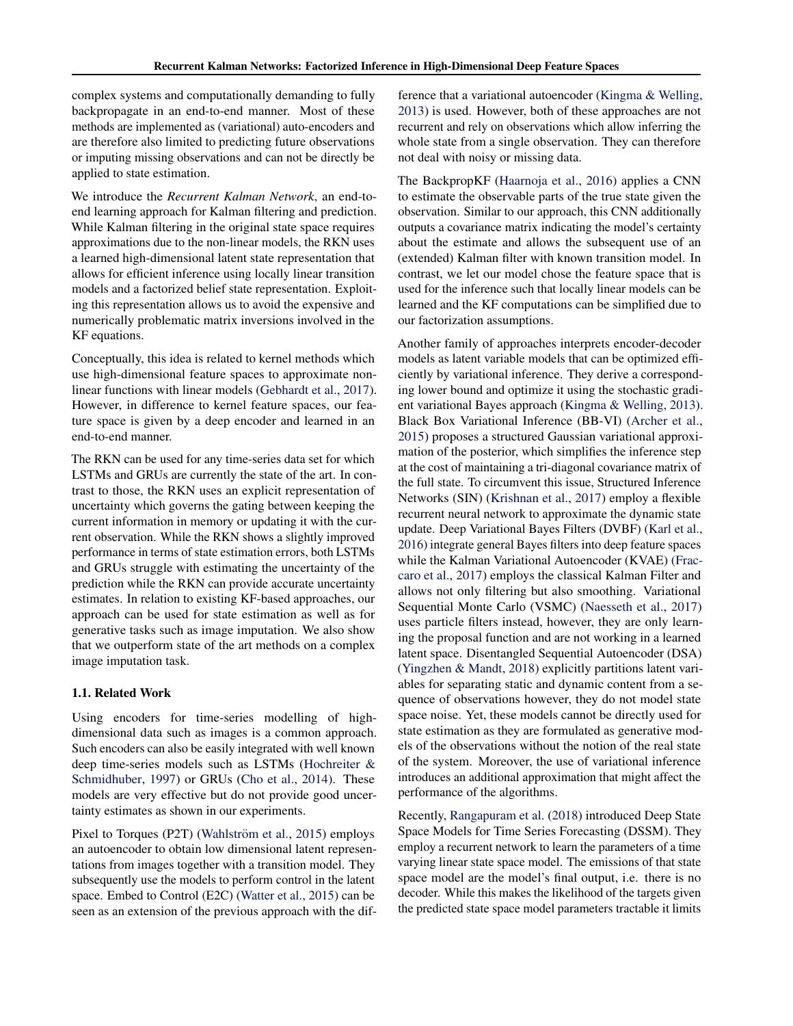complex systems and computationally demanding to fully backpropagate in an end-to-end manner. Most of these methods are implemented as (variational) auto-encoders and are therefore also limited to predicting future observations or imputing missing observations and can not be directly be applied to state estimation.

We introduce the *Recurrent Kalman Network*, an end-toend learning approach for Kalman filtering and prediction. While Kalman filtering in the original state space requires approximations due to the non-linear models, the RKN uses a learned high-dimensional latent state representation that allows for efficient inference using locally linear transition models and a factorized belief state representation. Exploiting this representation allows us to avoid the expensive and numerically problematic matrix inversions involved in the KF equations.

Conceptually, this idea is related to kernel methods which use high-dimensional feature spaces to approximate nonlinear functions with linear models [\(Gebhardt et al.,](#page-8-0) [2017\)](#page-8-0). However, in difference to kernel feature spaces, our feature space is given by a deep encoder and learned in an end-to-end manner.

The RKN can be used for any time-series data set for which LSTMs and GRUs are currently the state of the art. In contrast to those, the RKN uses an explicit representation of uncertainty which governs the gating between keeping the current information in memory or updating it with the current observation. While the RKN shows a slightly improved performance in terms of state estimation errors, both LSTMs and GRUs struggle with estimating the uncertainty of the prediction while the RKN can provide accurate uncertainty estimates. In relation to existing KF-based approaches, our approach can be used for state estimation as well as for generative tasks such as image imputation. We also show that we outperform state of the art methods on a complex image imputation task.

#### 1.1. Related Work

Using encoders for time-series modelling of highdimensional data such as images is a common approach. Such encoders can also be easily integrated with well known deep time-series models such as LSTMs [\(Hochreiter &](#page-8-0) [Schmidhuber,](#page-8-0) [1997\)](#page-8-0) or GRUs [\(Cho et al.,](#page-8-0) [2014\)](#page-8-0). These models are very effective but do not provide good uncertainty estimates as shown in our experiments.

Pixel to Torques (P2T) (Wahlström et al., [2015\)](#page-8-0) employs an autoencoder to obtain low dimensional latent representations from images together with a transition model. They subsequently use the models to perform control in the latent space. Embed to Control (E2C) [\(Watter et al.,](#page-8-0) [2015\)](#page-8-0) can be seen as an extension of the previous approach with the difference that a variational autoencoder [\(Kingma & Welling,](#page-8-0) [2013\)](#page-8-0) is used. However, both of these approaches are not recurrent and rely on observations which allow inferring the whole state from a single observation. They can therefore not deal with noisy or missing data.

The BackpropKF [\(Haarnoja et al.,](#page-8-0) [2016\)](#page-8-0) applies a CNN to estimate the observable parts of the true state given the observation. Similar to our approach, this CNN additionally outputs a covariance matrix indicating the model's certainty about the estimate and allows the subsequent use of an (extended) Kalman filter with known transition model. In contrast, we let our model chose the feature space that is used for the inference such that locally linear models can be learned and the KF computations can be simplified due to our factorization assumptions.

Another family of approaches interprets encoder-decoder models as latent variable models that can be optimized efficiently by variational inference. They derive a corresponding lower bound and optimize it using the stochastic gradient variational Bayes approach [\(Kingma & Welling,](#page-8-0) [2013\)](#page-8-0). Black Box Variational Inference (BB-VI) [\(Archer et al.,](#page-8-0) [2015\)](#page-8-0) proposes a structured Gaussian variational approximation of the posterior, which simplifies the inference step at the cost of maintaining a tri-diagonal covariance matrix of the full state. To circumvent this issue, Structured Inference Networks (SIN) [\(Krishnan et al.,](#page-8-0) [2017\)](#page-8-0) employ a flexible recurrent neural network to approximate the dynamic state update. Deep Variational Bayes Filters (DVBF) [\(Karl et al.,](#page-8-0) [2016\)](#page-8-0) integrate general Bayes filters into deep feature spaces while the Kalman Variational Autoencoder (KVAE) [\(Frac](#page-8-0)[caro et al.,](#page-8-0) [2017\)](#page-8-0) employs the classical Kalman Filter and allows not only filtering but also smoothing. Variational Sequential Monte Carlo (VSMC) [\(Naesseth et al.,](#page-8-0) [2017\)](#page-8-0) uses particle filters instead, however, they are only learning the proposal function and are not working in a learned latent space. Disentangled Sequential Autoencoder (DSA) [\(Yingzhen & Mandt,](#page-8-0) [2018\)](#page-8-0) explicitly partitions latent variables for separating static and dynamic content from a sequence of observations however, they do not model state space noise. Yet, these models cannot be directly used for state estimation as they are formulated as generative models of the observations without the notion of the real state of the system. Moreover, the use of variational inference introduces an additional approximation that might affect the performance of the algorithms.

Recently, [Rangapuram et al.](#page-8-0) [\(2018\)](#page-8-0) introduced Deep State Space Models for Time Series Forecasting (DSSM). They employ a recurrent network to learn the parameters of a time varying linear state space model. The emissions of that state space model are the model's final output, i.e. there is no decoder. While this makes the likelihood of the targets given the predicted state space model parameters tractable it limits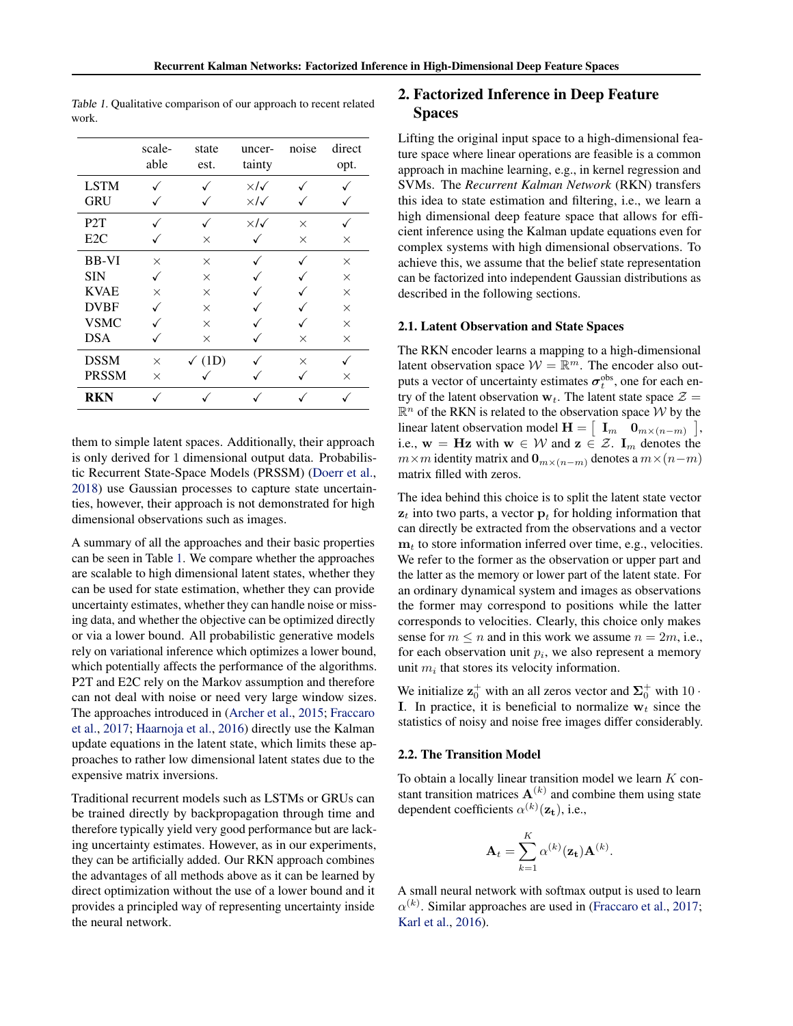|                  | scale-<br>able | state<br>est.     | uncer-<br>tainty        | noise    | direct<br>opt. |  |
|------------------|----------------|-------------------|-------------------------|----------|----------------|--|
| <b>LSTM</b>      |                |                   | $\times$ / $\checkmark$ |          |                |  |
| <b>GRU</b>       |                |                   | $\times$ / $\checkmark$ |          |                |  |
| P <sub>2</sub> T |                |                   | $\times$ / $\checkmark$ | $\times$ |                |  |
| E2C              |                | $\times$          |                         | $\times$ | $\times$       |  |
| <b>BB-VI</b>     | $\times$       | $\times$          |                         |          | $\times$       |  |
| <b>SIN</b>       |                | $\times$          |                         |          | $\times$       |  |
| <b>KVAE</b>      | $\times$       | $\times$          |                         |          | $\times$       |  |
| <b>DVBF</b>      |                | $\times$          |                         |          | $\times$       |  |
| <b>VSMC</b>      |                | $\times$          |                         |          | $\times$       |  |
| <b>DSA</b>       |                | $\times$          |                         | X        | X              |  |
| <b>DSSM</b>      | $\times$       | $\checkmark$ (1D) |                         | X        |                |  |
| <b>PRSSM</b>     | $\times$       |                   |                         |          | X              |  |
| RKN              |                |                   |                         |          |                |  |

Table 1. Qualitative comparison of our approach to recent related work.

them to simple latent spaces. Additionally, their approach is only derived for 1 dimensional output data. Probabilistic Recurrent State-Space Models (PRSSM) [\(Doerr et al.,](#page-8-0) [2018\)](#page-8-0) use Gaussian processes to capture state uncertainties, however, their approach is not demonstrated for high dimensional observations such as images.

A summary of all the approaches and their basic properties can be seen in Table 1. We compare whether the approaches are scalable to high dimensional latent states, whether they can be used for state estimation, whether they can provide uncertainty estimates, whether they can handle noise or missing data, and whether the objective can be optimized directly or via a lower bound. All probabilistic generative models rely on variational inference which optimizes a lower bound, which potentially affects the performance of the algorithms. P2T and E2C rely on the Markov assumption and therefore can not deal with noise or need very large window sizes. The approaches introduced in [\(Archer et al.,](#page-8-0) [2015;](#page-8-0) [Fraccaro](#page-8-0) [et al.,](#page-8-0) [2017;](#page-8-0) [Haarnoja et al.,](#page-8-0) [2016\)](#page-8-0) directly use the Kalman update equations in the latent state, which limits these approaches to rather low dimensional latent states due to the expensive matrix inversions.

Traditional recurrent models such as LSTMs or GRUs can be trained directly by backpropagation through time and therefore typically yield very good performance but are lacking uncertainty estimates. However, as in our experiments, they can be artificially added. Our RKN approach combines the advantages of all methods above as it can be learned by direct optimization without the use of a lower bound and it provides a principled way of representing uncertainty inside the neural network.

# 2. Factorized Inference in Deep Feature **Spaces**

Lifting the original input space to a high-dimensional feature space where linear operations are feasible is a common approach in machine learning, e.g., in kernel regression and SVMs. The *Recurrent Kalman Network* (RKN) transfers this idea to state estimation and filtering, i.e., we learn a high dimensional deep feature space that allows for efficient inference using the Kalman update equations even for complex systems with high dimensional observations. To achieve this, we assume that the belief state representation can be factorized into independent Gaussian distributions as described in the following sections.

#### 2.1. Latent Observation and State Spaces

The RKN encoder learns a mapping to a high-dimensional latent observation space  $W = \mathbb{R}^m$ . The encoder also outputs a vector of uncertainty estimates  $\sigma_t^{\text{obs}}$ , one for each entry of the latent observation  $w_t$ . The latent state space  $\mathcal{Z} =$  $\mathbb{R}^n$  of the RKN is related to the observation space W by the linear latent observation model  $\mathbf{H} = \begin{bmatrix} \mathbf{I}_m & \mathbf{0}_{m \times (n-m)} \end{bmatrix}$ , i.e.,  $w = Hz$  with  $w \in W$  and  $z \in \mathcal{Z}$ .  $I_m$  denotes the  $m \times m$  identity matrix and  $\mathbf{0}_{m \times (n-m)}$  denotes a  $m \times (n-m)$ matrix filled with zeros.

The idea behind this choice is to split the latent state vector  $z_t$  into two parts, a vector  $p_t$  for holding information that can directly be extracted from the observations and a vector  $m_t$  to store information inferred over time, e.g., velocities. We refer to the former as the observation or upper part and the latter as the memory or lower part of the latent state. For an ordinary dynamical system and images as observations the former may correspond to positions while the latter corresponds to velocities. Clearly, this choice only makes sense for  $m \le n$  and in this work we assume  $n = 2m$ , i.e., for each observation unit  $p_i$ , we also represent a memory unit  $m_i$  that stores its velocity information.

We initialize  $\mathbf{z}_0^+$  with an all zeros vector and  $\mathbf{\Sigma}_0^+$  with  $10 \cdot$ I. In practice, it is beneficial to normalize  $w_t$  since the statistics of noisy and noise free images differ considerably.

#### 2.2. The Transition Model

To obtain a locally linear transition model we learn  $K$  constant transition matrices  $A^{(k)}$  and combine them using state dependent coefficients  $\alpha^{(k)}(\mathbf{z_t})$ , i.e.,

$$
\mathbf{A}_t = \sum_{k=1}^K \alpha^{(k)}(\mathbf{z_t}) \mathbf{A}^{(k)}
$$

.

A small neural network with softmax output is used to learn  $\alpha^{(k)}$ . Similar approaches are used in [\(Fraccaro et al.,](#page-8-0) [2017;](#page-8-0) [Karl et al.,](#page-8-0) [2016\)](#page-8-0).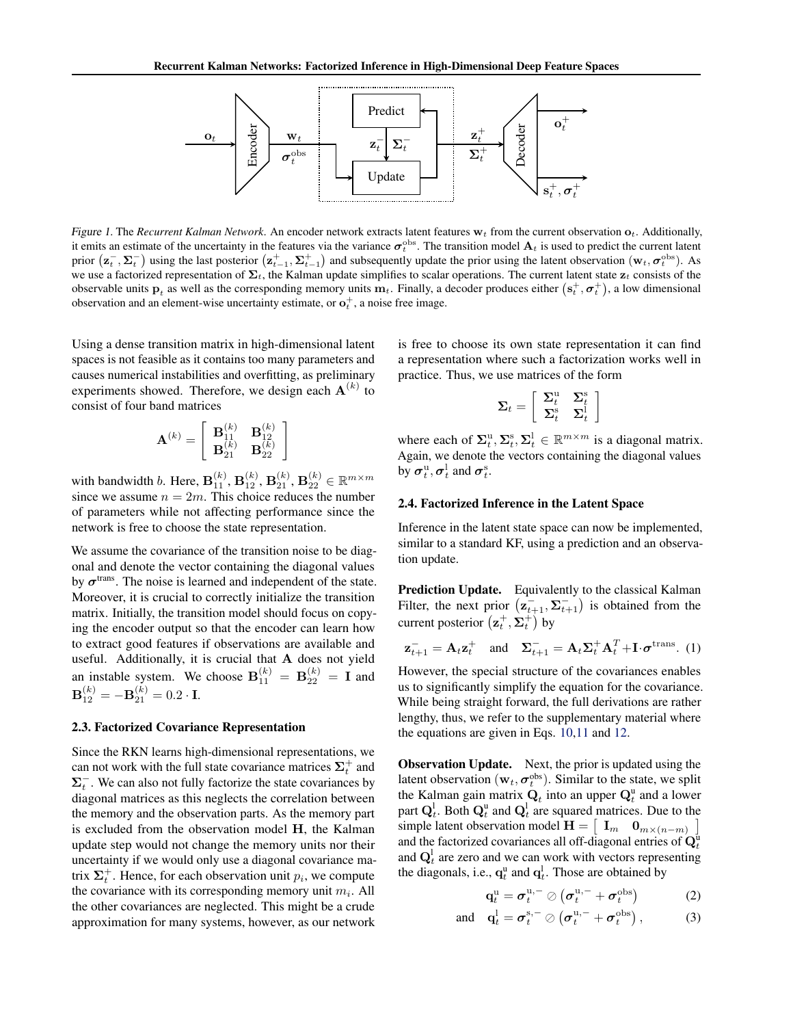

Figure 1. The *Recurrent Kalman Network*. An encoder network extracts latent features  $w_t$  from the current observation  $o_t$ . Additionally, it emits an estimate of the uncertainty in the features via the variance  $\sigma_t^{\text{obs}}$ . The transition model  $A_t$  is used to predict the current latent prior  $(\mathbf{z}_t^-, \mathbf{\Sigma}_t^-)$  using the last posterior  $(\mathbf{z}_{t-1}^+, \mathbf{\Sigma}_{t-1}^+)$  and subsequently update the prior using the latent observation  $(\mathbf{w}_t, \sigma_t^{\text{obs}})$ . As we use a factorized representation of  $\Sigma_t$ , the Kalman update simplifies to scalar operations. The current latent state  $z_t$  consists of the observable units  $p_t$  as well as the corresponding memory units  $m_t$ . Finally, a decoder produces either  $(s_t^+, \sigma_t^+)$ , a low dimensional observation and an element-wise uncertainty estimate, or  $o_t^+$ , a noise free image.

Using a dense transition matrix in high-dimensional latent spaces is not feasible as it contains too many parameters and causes numerical instabilities and overfitting, as preliminary experiments showed. Therefore, we design each  $A^{(k)}$  to consist of four band matrices

$$
\mathbf{A}^{(k)}=\left[\begin{array}{cc} \mathbf{B}^{(k)}_{11} & \mathbf{B}^{(k)}_{12} \\ \mathbf{B}^{(k)}_{21} & \mathbf{B}^{(k)}_{22} \end{array}\right]
$$

with bandwidth *b*. Here,  $\mathbf{B}_{11}^{(k)}$ ,  $\mathbf{B}_{12}^{(k)}$ ,  $\mathbf{B}_{21}^{(k)}$ ,  $\mathbf{B}_{22}^{(k)} \in \mathbb{R}^{m \times m}$ since we assume  $n = 2m$ . This choice reduces the number of parameters while not affecting performance since the network is free to choose the state representation.

We assume the covariance of the transition noise to be diagonal and denote the vector containing the diagonal values by  $\sigma^{\text{trans}}$ . The noise is learned and independent of the state. Moreover, it is crucial to correctly initialize the transition matrix. Initially, the transition model should focus on copying the encoder output so that the encoder can learn how to extract good features if observations are available and useful. Additionally, it is crucial that A does not yield an instable system. We choose  $\mathbf{B}_{11}^{(k)} = \mathbf{B}_{22}^{(k)} = \mathbf{I}$  and  ${\bf B}_{12}^{(k)}=-{\bf B}_{21}^{(k)}=0.2\cdot{\bf I}.$ 

#### 2.3. Factorized Covariance Representation

Since the RKN learns high-dimensional representations, we can not work with the full state covariance matrices  $\Sigma_t^+$  and  $\Sigma_t^-$ . We can also not fully factorize the state covariances by diagonal matrices as this neglects the correlation between the memory and the observation parts. As the memory part is excluded from the observation model H, the Kalman update step would not change the memory units nor their uncertainty if we would only use a diagonal covariance matrix  $\Sigma_t^+$ . Hence, for each observation unit  $p_i$ , we compute the covariance with its corresponding memory unit  $m_i$ . All the other covariances are neglected. This might be a crude approximation for many systems, however, as our network

is free to choose its own state representation it can find a representation where such a factorization works well in practice. Thus, we use matrices of the form

$$
\boldsymbol{\Sigma}_t = \left[ \begin{array}{cc} \boldsymbol{\Sigma}_t^\textrm{u} & \boldsymbol{\Sigma}_t^\textrm{s} \\ \boldsymbol{\Sigma}_t^\textrm{s} & \boldsymbol{\Sigma}_t^\textrm{l} \end{array} \right]
$$

where each of  $\Sigma_t^{\mathrm{u}}, \Sigma_t^{\mathrm{s}}, \Sigma_t^{\mathrm{l}} \in \mathbb{R}^{m \times m}$  is a diagonal matrix. Again, we denote the vectors containing the diagonal values by  $\boldsymbol{\sigma}^{\mathrm{u}}_t, \boldsymbol{\sigma}^{\mathrm{l}}_t$  and  $\boldsymbol{\sigma}^{\mathrm{s}}_t$ .

#### 2.4. Factorized Inference in the Latent Space

Inference in the latent state space can now be implemented, similar to a standard KF, using a prediction and an observation update.

Prediction Update. Equivalently to the classical Kalman Filter, the next prior  $(\mathbf{z}_{t+1}^-, \mathbf{\Sigma}_{t+1}^-)$  is obtained from the current posterior  $(\mathbf{z}_t^+, \mathbf{\Sigma}_t^+)$  by

$$
\mathbf{z}_{t+1}^- = \mathbf{A}_t \mathbf{z}_t^+
$$
 and  $\mathbf{\Sigma}_{t+1}^- = \mathbf{A}_t \mathbf{\Sigma}_t^+ \mathbf{A}_t^T + \mathbf{I} \cdot \boldsymbol{\sigma}^{\text{trans}}.$  (1)

However, the special structure of the covariances enables us to significantly simplify the equation for the covariance. While being straight forward, the full derivations are rather lengthy, thus, we refer to the supplementary material where the equations are given in Eqs. [10,11](#page--1-0) and [12.](#page--1-0)

**Observation Update.** Next, the prior is updated using the latent observation  $(\mathbf{w}_t, \boldsymbol{\sigma}_t^{\text{obs}})$ . Similar to the state, we split the Kalman gain matrix  $\mathbf{Q}_t$  into an upper  $\mathbf{Q}_t^{\mathrm{u}}$  and a lower part  $Q_t^l$ . Both  $Q_t^u$  and  $Q_t^l$  are squared matrices. Due to the simple latent observation model  $\mathbf{H} = \begin{bmatrix} \mathbf{I}_m & \mathbf{0}_{m \times (n-m)} \end{bmatrix}$ 1 and the factorized covariances all off-diagonal entries of  $Q_t^{\text{u}}$ and  $Q_t^l$  are zero and we can work with vectors representing the diagonals, i.e.,  $\mathbf{q}_t^{\text{u}}$  and  $\mathbf{q}_t^{\text{l}}$ . Those are obtained by

$$
\mathbf{q}_t^{\mathrm{u}} = \boldsymbol{\sigma}_t^{\mathrm{u},-} \oslash (\boldsymbol{\sigma}_t^{\mathrm{u},-} + \boldsymbol{\sigma}_t^{\mathrm{obs}})
$$
 (2)

and 
$$
\mathbf{q}_t^1 = \boldsymbol{\sigma}_t^{\mathrm{s},-} \oslash (\boldsymbol{\sigma}_t^{\mathrm{u},-} + \boldsymbol{\sigma}_t^{\mathrm{obs}}),
$$
 (3)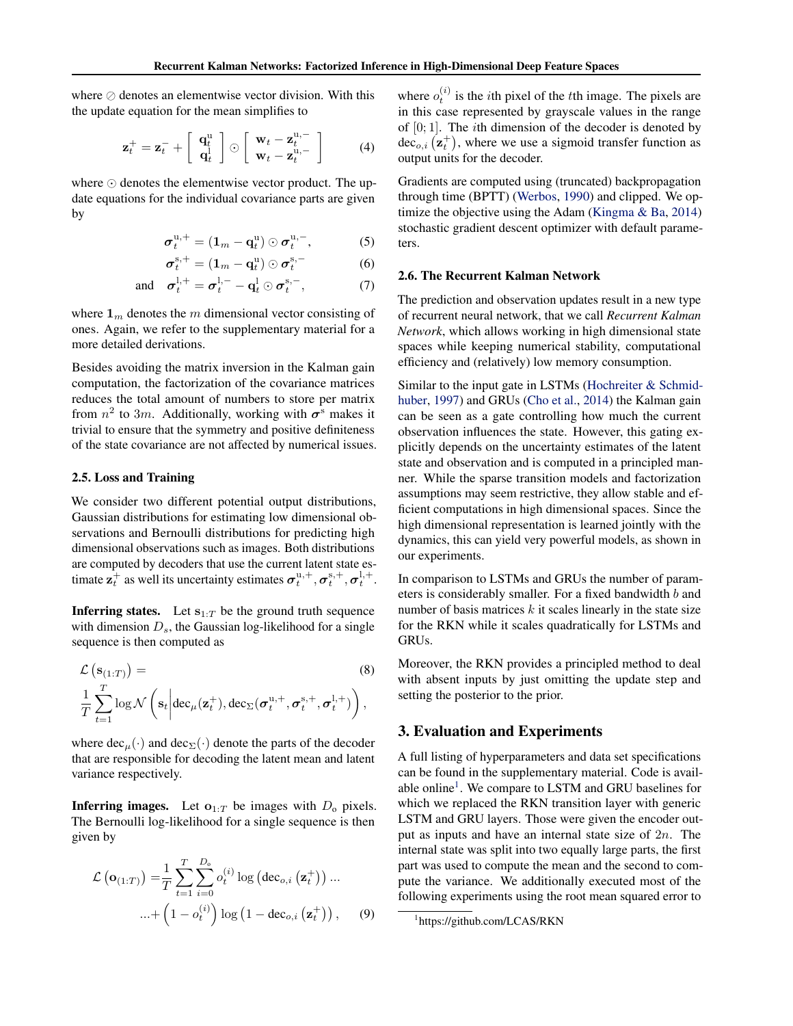where  $\oslash$  denotes an elementwise vector division. With this the update equation for the mean simplifies to

$$
\mathbf{z}_{t}^{+} = \mathbf{z}_{t}^{-} + \left[ \begin{array}{c} \mathbf{q}_{t}^{\mathrm{u}} \\ \mathbf{q}_{t}^{\mathrm{u}} \end{array} \right] \odot \left[ \begin{array}{c} \mathbf{w}_{t} - \mathbf{z}_{t}^{\mathrm{u},-} \\ \mathbf{w}_{t} - \mathbf{z}_{t}^{\mathrm{u},-} \end{array} \right] \tag{4}
$$

where  $\odot$  denotes the elementwise vector product. The update equations for the individual covariance parts are given by

$$
\boldsymbol{\sigma}_{t}^{\mathrm{u},+}=(\mathbf{1}_{m}-\mathbf{q}_{t}^{\mathrm{u}})\odot\boldsymbol{\sigma}_{t}^{\mathrm{u},-}, \qquad (5)
$$

$$
\boldsymbol{\sigma}_t^{\mathrm{s},+} = (\mathbf{1}_m - \mathbf{q}_t^{\mathrm{u}}) \odot \boldsymbol{\sigma}_t^{\mathrm{s},-}
$$
 (6)

and 
$$
\boldsymbol{\sigma}_t^{l,+} = \boldsymbol{\sigma}_t^{l,-} - \mathbf{q}_t^l \odot \boldsymbol{\sigma}_t^{s,-},
$$
 (7)

where  $\mathbf{1}_m$  denotes the m dimensional vector consisting of ones. Again, we refer to the supplementary material for a more detailed derivations.

Besides avoiding the matrix inversion in the Kalman gain computation, the factorization of the covariance matrices reduces the total amount of numbers to store per matrix from  $n^2$  to 3m. Additionally, working with  $\sigma^s$  makes it trivial to ensure that the symmetry and positive definiteness of the state covariance are not affected by numerical issues.

#### 2.5. Loss and Training

 $\mathcal{L}$ 

We consider two different potential output distributions, Gaussian distributions for estimating low dimensional observations and Bernoulli distributions for predicting high dimensional observations such as images. Both distributions are computed by decoders that use the current latent state estimate  $\mathbf{z}_t^+$  as well its uncertainty estimates  $\sigma_t^{\mathrm{u},+}$ ,  $\sigma_t^{\mathrm{s},+}$ ,  $\sigma_t^{\mathrm{l},+}$ .

**Inferring states.** Let  $s_{1:T}$  be the ground truth sequence with dimension  $D_s$ , the Gaussian log-likelihood for a single sequence is then computed as

$$
\mathcal{L}\left(\mathbf{s}_{(1:T)}\right) = \frac{1}{T} \sum_{t=1}^{T} \log \mathcal{N}\left(\mathbf{s}_t \middle| \text{dec}_{\mu}(\mathbf{z}_t^+), \text{dec}_{\Sigma}(\boldsymbol{\sigma}_t^{\mathrm{u},+}, \boldsymbol{\sigma}_t^{\mathrm{s},+}, \boldsymbol{\sigma}_t^{\mathrm{l},+})\right),
$$
\n(8)

where  $dec_{\mu}(\cdot)$  and  $dec_{\Sigma}(\cdot)$  denote the parts of the decoder that are responsible for decoding the latent mean and latent variance respectively.

**Inferring images.** Let  $\mathbf{o}_{1:T}$  be images with  $D_0$  pixels. The Bernoulli log-likelihood for a single sequence is then given by

$$
\mathcal{L}\left(\mathbf{o}_{(1:T)}\right) = \frac{1}{T} \sum_{t=1}^{T} \sum_{i=0}^{D_o} o_t^{(i)} \log \left(\text{dec}_{o,i}\left(\mathbf{z}_t^+\right)\right) \dots
$$

$$
\dots + \left(1 - o_t^{(i)}\right) \log \left(1 - \text{dec}_{o,i}\left(\mathbf{z}_t^+\right)\right), \qquad (9)
$$

where  $o_t^{(i)}$  is the *i*th pixel of the *t*<sup>th</sup> image. The pixels are in this case represented by grayscale values in the range of  $[0; 1]$ . The *i*th dimension of the decoder is denoted by dec<sub>o,i</sub>  $(\mathbf{z}_t^+)$ , where we use a sigmoid transfer function as output units for the decoder.

Gradients are computed using (truncated) backpropagation through time (BPTT) [\(Werbos,](#page-8-0) [1990\)](#page-8-0) and clipped. We optimize the objective using the Adam [\(Kingma & Ba,](#page-8-0) [2014\)](#page-8-0) stochastic gradient descent optimizer with default parameters.

#### 2.6. The Recurrent Kalman Network

The prediction and observation updates result in a new type of recurrent neural network, that we call *Recurrent Kalman Network*, which allows working in high dimensional state spaces while keeping numerical stability, computational efficiency and (relatively) low memory consumption.

Similar to the input gate in LSTMs [\(Hochreiter & Schmid](#page-8-0)[huber,](#page-8-0) [1997\)](#page-8-0) and GRUs [\(Cho et al.,](#page-8-0) [2014\)](#page-8-0) the Kalman gain can be seen as a gate controlling how much the current observation influences the state. However, this gating explicitly depends on the uncertainty estimates of the latent state and observation and is computed in a principled manner. While the sparse transition models and factorization assumptions may seem restrictive, they allow stable and efficient computations in high dimensional spaces. Since the high dimensional representation is learned jointly with the dynamics, this can yield very powerful models, as shown in our experiments.

In comparison to LSTMs and GRUs the number of parameters is considerably smaller. For a fixed bandwidth b and number of basis matrices  $k$  it scales linearly in the state size for the RKN while it scales quadratically for LSTMs and GRUs.

Moreover, the RKN provides a principled method to deal with absent inputs by just omitting the update step and setting the posterior to the prior.

### 3. Evaluation and Experiments

A full listing of hyperparameters and data set specifications can be found in the supplementary material. Code is available online<sup>1</sup>. We compare to LSTM and GRU baselines for which we replaced the RKN transition layer with generic LSTM and GRU layers. Those were given the encoder output as inputs and have an internal state size of  $2n$ . The internal state was split into two equally large parts, the first part was used to compute the mean and the second to compute the variance. We additionally executed most of the following experiments using the root mean squared error to

<sup>1</sup> https://github.com/LCAS/RKN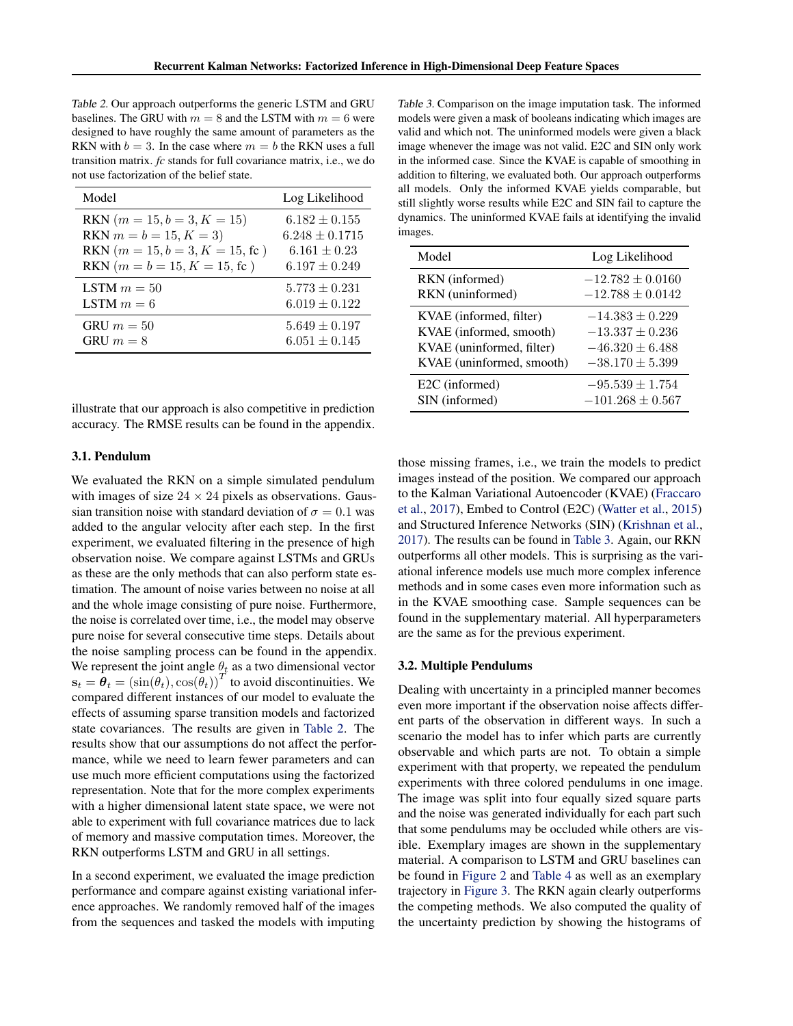Table 2. Our approach outperforms the generic LSTM and GRU baselines. The GRU with  $m = 8$  and the LSTM with  $m = 6$  were designed to have roughly the same amount of parameters as the RKN with  $b = 3$ . In the case where  $m = b$  the RKN uses a full transition matrix. *fc* stands for full covariance matrix, i.e., we do not use factorization of the belief state.

| Model                                    | Log Likelihood     |
|------------------------------------------|--------------------|
| RKN $(m = 15, b = 3, K = 15)$            | $6.182 \pm 0.155$  |
| RKN $m = b = 15, K = 3$                  | $6.248 \pm 0.1715$ |
| RKN $(m = 15, b = 3, K = 15, \text{fc})$ | $6.161 \pm 0.23$   |
| RKN $(m = b = 15, K = 15, \text{fc})$    | $6.197 \pm 0.249$  |
| LSTM $m = 50$                            | $5.773 \pm 0.231$  |
| LSTM $m=6$                               | $6.019 \pm 0.122$  |
| GRU $m = 50$                             | $5.649 \pm 0.197$  |
| GRU $m = 8$                              | $6.051 \pm 0.145$  |

illustrate that our approach is also competitive in prediction accuracy. The RMSE results can be found in the appendix.

#### 3.1. Pendulum

We evaluated the RKN on a simple simulated pendulum with images of size  $24 \times 24$  pixels as observations. Gaussian transition noise with standard deviation of  $\sigma = 0.1$  was added to the angular velocity after each step. In the first experiment, we evaluated filtering in the presence of high observation noise. We compare against LSTMs and GRUs as these are the only methods that can also perform state estimation. The amount of noise varies between no noise at all and the whole image consisting of pure noise. Furthermore, the noise is correlated over time, i.e., the model may observe pure noise for several consecutive time steps. Details about the noise sampling process can be found in the appendix. We represent the joint angle  $\theta_t$  as a two dimensional vector  $\mathbf{s}_t = \hat{\boldsymbol{\theta}}_t = (\sin(\hat{\theta_t}), \cos(\hat{\theta_t}))^T$  to avoid discontinuities. We compared different instances of our model to evaluate the effects of assuming sparse transition models and factorized state covariances. The results are given in Table 2. The results show that our assumptions do not affect the performance, while we need to learn fewer parameters and can use much more efficient computations using the factorized representation. Note that for the more complex experiments with a higher dimensional latent state space, we were not able to experiment with full covariance matrices due to lack of memory and massive computation times. Moreover, the RKN outperforms LSTM and GRU in all settings.

In a second experiment, we evaluated the image prediction performance and compare against existing variational inference approaches. We randomly removed half of the images from the sequences and tasked the models with imputing

Table 3. Comparison on the image imputation task. The informed models were given a mask of booleans indicating which images are valid and which not. The uninformed models were given a black image whenever the image was not valid. E2C and SIN only work in the informed case. Since the KVAE is capable of smoothing in addition to filtering, we evaluated both. Our approach outperforms all models. Only the informed KVAE yields comparable, but still slightly worse results while E2C and SIN fail to capture the dynamics. The uninformed KVAE fails at identifying the invalid images.

| Model                     | Log Likelihood       |
|---------------------------|----------------------|
| RKN (informed)            | $-12.782 \pm 0.0160$ |
| RKN (uninformed)          | $-12.788 \pm 0.0142$ |
| KVAE (informed, filter)   | $-14.383 \pm 0.229$  |
| KVAE (informed, smooth)   | $-13.337 \pm 0.236$  |
| KVAE (uninformed, filter) | $-46.320 \pm 6.488$  |
| KVAE (uninformed, smooth) | $-38.170 \pm 5.399$  |
| E2C (informed)            | $-95.539 \pm 1.754$  |
| SIN (informed)            | $-101.268 \pm 0.567$ |

those missing frames, i.e., we train the models to predict images instead of the position. We compared our approach to the Kalman Variational Autoencoder (KVAE) [\(Fraccaro](#page-8-0) [et al.,](#page-8-0) [2017\)](#page-8-0), Embed to Control (E2C) [\(Watter et al.,](#page-8-0) [2015\)](#page-8-0) and Structured Inference Networks (SIN) [\(Krishnan et al.,](#page-8-0) [2017\)](#page-8-0). The results can be found in Table 3. Again, our RKN outperforms all other models. This is surprising as the variational inference models use much more complex inference methods and in some cases even more information such as in the KVAE smoothing case. Sample sequences can be found in the supplementary material. All hyperparameters are the same as for the previous experiment.

#### 3.2. Multiple Pendulums

Dealing with uncertainty in a principled manner becomes even more important if the observation noise affects different parts of the observation in different ways. In such a scenario the model has to infer which parts are currently observable and which parts are not. To obtain a simple experiment with that property, we repeated the pendulum experiments with three colored pendulums in one image. The image was split into four equally sized square parts and the noise was generated individually for each part such that some pendulums may be occluded while others are visible. Exemplary images are shown in the supplementary material. A comparison to LSTM and GRU baselines can be found in [Figure 2](#page-6-0) and [Table 4](#page-6-0) as well as an exemplary trajectory in [Figure 3.](#page-7-0) The RKN again clearly outperforms the competing methods. We also computed the quality of the uncertainty prediction by showing the histograms of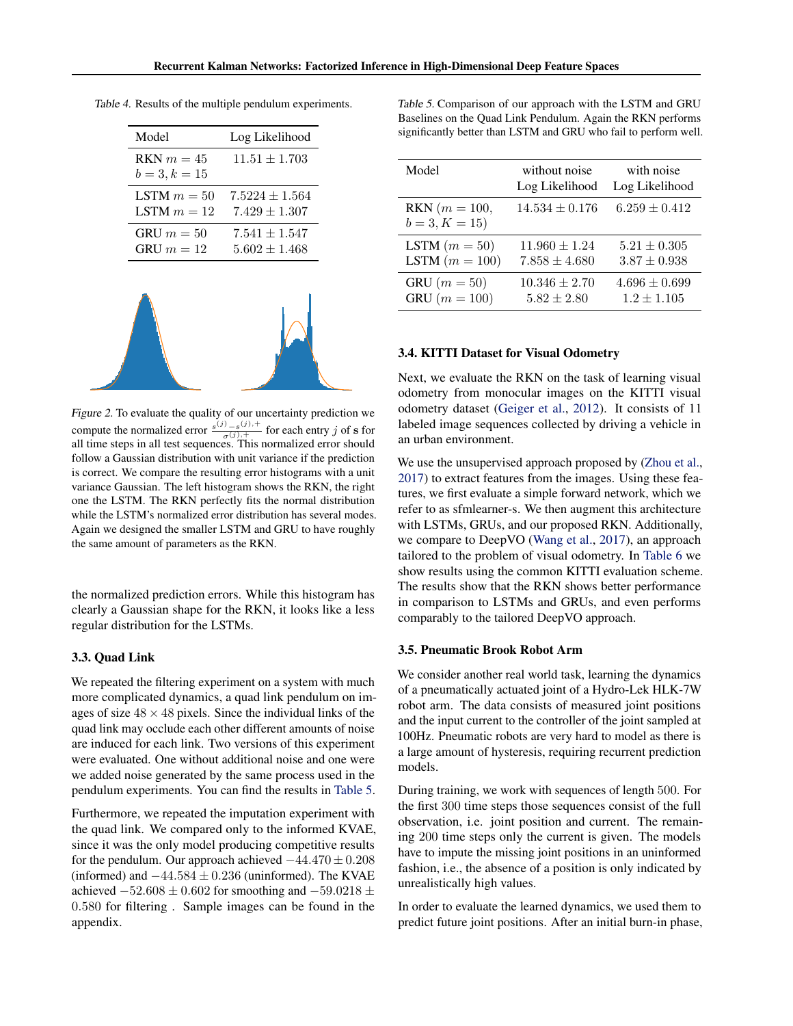| Model                           | Log Likelihood     |
|---------------------------------|--------------------|
| $RKN m = 45$<br>$b = 3, k = 15$ | $11.51 \pm 1.703$  |
| LSTM $m = 50$                   | $7.5224 \pm 1.564$ |
| LSTM $m = 12$                   | $7.429 \pm 1.307$  |
| GRU $m = 50$                    | $7.541 \pm 1.547$  |
| GRU $m = 12$                    | $5.602 \pm 1.468$  |

<span id="page-6-0"></span>Table 4. Results of the multiple pendulum experiments.



Figure 2. To evaluate the quality of our uncertainty prediction we compute the normalized error  $\frac{s^{(j)} - s^{(j)} + 1}{\sigma^{(j)} + 1}$  for each entry j of s for all time steps in all test sequences. This normalized error should follow a Gaussian distribution with unit variance if the prediction is correct. We compare the resulting error histograms with a unit variance Gaussian. The left histogram shows the RKN, the right one the LSTM. The RKN perfectly fits the normal distribution while the LSTM's normalized error distribution has several modes. Again we designed the smaller LSTM and GRU to have roughly the same amount of parameters as the RKN.

the normalized prediction errors. While this histogram has clearly a Gaussian shape for the RKN, it looks like a less regular distribution for the LSTMs.

#### 3.3. Quad Link

We repeated the filtering experiment on a system with much more complicated dynamics, a quad link pendulum on images of size  $48 \times 48$  pixels. Since the individual links of the quad link may occlude each other different amounts of noise are induced for each link. Two versions of this experiment were evaluated. One without additional noise and one were we added noise generated by the same process used in the pendulum experiments. You can find the results in Table 5.

Furthermore, we repeated the imputation experiment with the quad link. We compared only to the informed KVAE, since it was the only model producing competitive results for the pendulum. Our approach achieved  $-44.470 \pm 0.208$ (informed) and  $-44.584 \pm 0.236$  (uninformed). The KVAE achieved  $-52.608 \pm 0.602$  for smoothing and  $-59.0218 \pm 0.602$ 0.580 for filtering . Sample images can be found in the appendix.

Table 5. Comparison of our approach with the LSTM and GRU Baselines on the Quad Link Pendulum. Again the RKN performs significantly better than LSTM and GRU who fail to perform well.

| Model                              | without noise<br>Log Likelihood | with noise<br>Log Likelihood |  |  |
|------------------------------------|---------------------------------|------------------------------|--|--|
| RKN $(m = 100,$<br>$b = 3, K = 15$ | $14.534 \pm 0.176$              | $6.259 \pm 0.412$            |  |  |
| LSTM $(m = 50)$                    | $11.960 \pm 1.24$               | $5.21 \pm 0.305$             |  |  |
| LSTM $(m = 100)$                   | $7.858 \pm 4.680$               | $3.87 \pm 0.938$             |  |  |
| GRU $(m=50)$                       | $10.346 \pm 2.70$               | $4.696 \pm 0.699$            |  |  |
| GRU $(m = 100)$                    | $5.82 \pm 2.80$                 | $1.2 \pm 1.105$              |  |  |

#### 3.4. KITTI Dataset for Visual Odometry

Next, we evaluate the RKN on the task of learning visual odometry from monocular images on the KITTI visual odometry dataset [\(Geiger et al.,](#page-8-0) [2012\)](#page-8-0). It consists of 11 labeled image sequences collected by driving a vehicle in an urban environment.

We use the unsupervised approach proposed by [\(Zhou et al.,](#page-8-0) [2017\)](#page-8-0) to extract features from the images. Using these features, we first evaluate a simple forward network, which we refer to as sfmlearner-s. We then augment this architecture with LSTMs, GRUs, and our proposed RKN. Additionally, we compare to DeepVO [\(Wang et al.,](#page-8-0) [2017\)](#page-8-0), an approach tailored to the problem of visual odometry. In [Table 6](#page-7-0) we show results using the common KITTI evaluation scheme. The results show that the RKN shows better performance in comparison to LSTMs and GRUs, and even performs comparably to the tailored DeepVO approach.

#### 3.5. Pneumatic Brook Robot Arm

We consider another real world task, learning the dynamics of a pneumatically actuated joint of a Hydro-Lek HLK-7W robot arm. The data consists of measured joint positions and the input current to the controller of the joint sampled at 100Hz. Pneumatic robots are very hard to model as there is a large amount of hysteresis, requiring recurrent prediction models.

During training, we work with sequences of length 500. For the first 300 time steps those sequences consist of the full observation, i.e. joint position and current. The remaining 200 time steps only the current is given. The models have to impute the missing joint positions in an uninformed fashion, i.e., the absence of a position is only indicated by unrealistically high values.

In order to evaluate the learned dynamics, we used them to predict future joint positions. After an initial burn-in phase,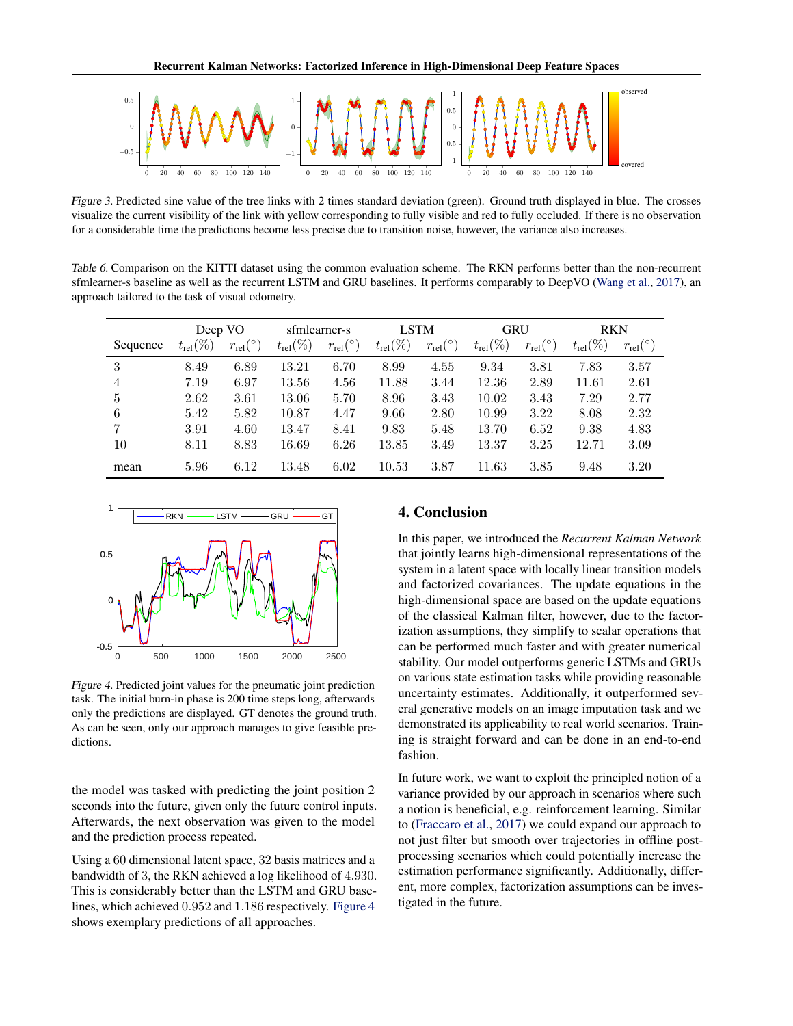<span id="page-7-0"></span>

Figure 3. Predicted sine value of the tree links with 2 times standard deviation (green). Ground truth displayed in blue. The crosses visualize the current visibility of the link with yellow corresponding to fully visible and red to fully occluded. If there is no observation for a considerable time the predictions become less precise due to transition noise, however, the variance also increases.

Table 6. Comparison on the KITTI dataset using the common evaluation scheme. The RKN performs better than the non-recurrent sfmlearner-s baseline as well as the recurrent LSTM and GRU baselines. It performs comparably to DeepVO [\(Wang et al.,](#page-8-0) [2017\)](#page-8-0), an approach tailored to the task of visual odometry.

|          | Deep VO              |                          | sfmlearner-s         |                          | <b>LSTM</b>          |                          | <b>GRU</b>           |                            | <b>RKN</b>           |                          |
|----------|----------------------|--------------------------|----------------------|--------------------------|----------------------|--------------------------|----------------------|----------------------------|----------------------|--------------------------|
| Sequence | $t_{\text{rel}}(\%)$ | $r_{\text{rel}}(^\circ)$ | $t_{\text{rel}}(\%)$ | $r_{\text{rel}}(^\circ)$ | $t_{\text{rel}}(\%)$ | $r_{\text{rel}}(^\circ)$ | $t_{\text{rel}}(\%)$ | $r_{\text{rel}}(^{\circ})$ | $t_{\text{rel}}(\%)$ | $r_{\text{rel}}(^\circ)$ |
| 3        | 8.49                 | 6.89                     | 13.21                | 6.70                     | 8.99                 | 4.55                     | 9.34                 | 3.81                       | 7.83                 | 3.57                     |
| 4        | 7.19                 | 6.97                     | 13.56                | 4.56                     | 11.88                | 3.44                     | 12.36                | 2.89                       | 11.61                | 2.61                     |
| 5        | 2.62                 | 3.61                     | 13.06                | 5.70                     | 8.96                 | 3.43                     | 10.02                | 3.43                       | 7.29                 | 2.77                     |
| 6        | 5.42                 | 5.82                     | 10.87                | 4.47                     | 9.66                 | 2.80                     | 10.99                | 3.22                       | 8.08                 | 2.32                     |
| 7        | 3.91                 | 4.60                     | 13.47                | 8.41                     | 9.83                 | 5.48                     | 13.70                | 6.52                       | 9.38                 | 4.83                     |
| 10       | 8.11                 | 8.83                     | 16.69                | 6.26                     | 13.85                | 3.49                     | 13.37                | 3.25                       | 12.71                | 3.09                     |
| mean     | 5.96                 | 6.12                     | 13.48                | 6.02                     | 10.53                | 3.87                     | 11.63                | 3.85                       | 9.48                 | 3.20                     |



Figure 4. Predicted joint values for the pneumatic joint prediction task. The initial burn-in phase is 200 time steps long, afterwards only the predictions are displayed. GT denotes the ground truth. As can be seen, only our approach manages to give feasible predictions.

the model was tasked with predicting the joint position 2 seconds into the future, given only the future control inputs. Afterwards, the next observation was given to the model and the prediction process repeated.

Using a 60 dimensional latent space, 32 basis matrices and a bandwidth of 3, the RKN achieved a log likelihood of 4.930. This is considerably better than the LSTM and GRU baselines, which achieved 0.952 and 1.186 respectively. Figure 4 shows exemplary predictions of all approaches.

# 4. Conclusion

In this paper, we introduced the *Recurrent Kalman Network* that jointly learns high-dimensional representations of the system in a latent space with locally linear transition models and factorized covariances. The update equations in the high-dimensional space are based on the update equations of the classical Kalman filter, however, due to the factorization assumptions, they simplify to scalar operations that can be performed much faster and with greater numerical stability. Our model outperforms generic LSTMs and GRUs on various state estimation tasks while providing reasonable uncertainty estimates. Additionally, it outperformed several generative models on an image imputation task and we demonstrated its applicability to real world scenarios. Training is straight forward and can be done in an end-to-end fashion.

In future work, we want to exploit the principled notion of a variance provided by our approach in scenarios where such a notion is beneficial, e.g. reinforcement learning. Similar to [\(Fraccaro et al.,](#page-8-0) [2017\)](#page-8-0) we could expand our approach to not just filter but smooth over trajectories in offline postprocessing scenarios which could potentially increase the estimation performance significantly. Additionally, different, more complex, factorization assumptions can be investigated in the future.